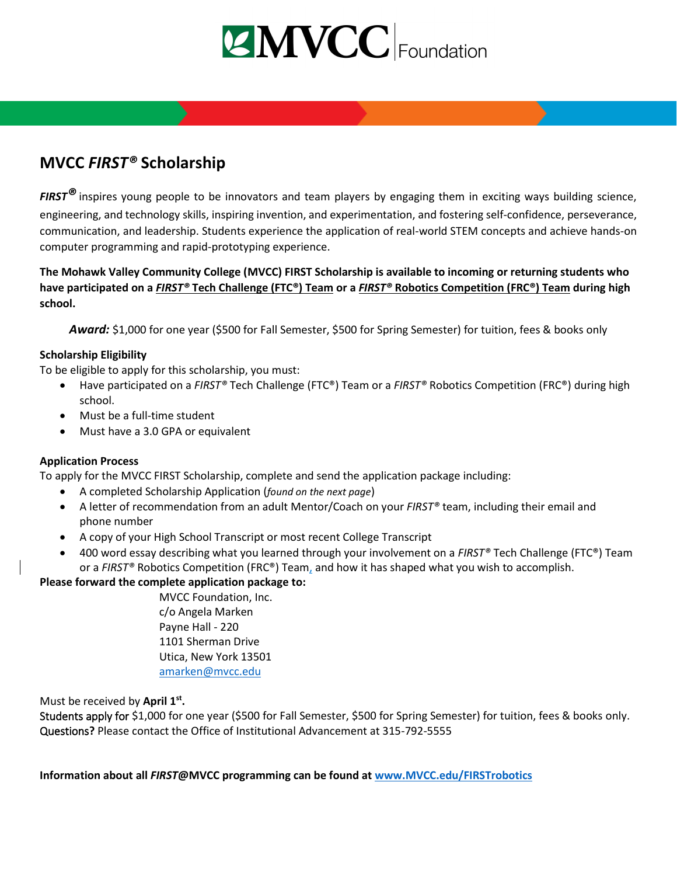

# **MVCC** *FIRST®* **Scholarship**

*FIRST®* inspires young people to be innovators and team players by engaging them in exciting ways building science, engineering, and technology skills, inspiring invention, and experimentation, and fostering self-confidence, perseverance, communication, and leadership. Students experience the application of real-world STEM concepts and achieve hands-on computer programming and rapid-prototyping experience.

**The Mohawk Valley Community College (MVCC) FIRST Scholarship is available to incoming or returning students who have participated on a** *FIRST®* **Tech Challenge (FTC®) Team or a** *FIRST®* **Robotics Competition (FRC®) Team during high school.** 

*Award:* \$1,000 for one year (\$500 for Fall Semester, \$500 for Spring Semester) for tuition, fees & books only

# **Scholarship Eligibility**

To be eligible to apply for this scholarship, you must:

- Have participated on a *FIRST®* Tech Challenge (FTC®) Team or a *FIRST®* Robotics Competition (FRC®) during high school.
- Must be a full-time student
- Must have a 3.0 GPA or equivalent

## **Application Process**

To apply for the MVCC FIRST Scholarship, complete and send the application package including:

- A completed Scholarship Application (*found on the next page*)
- A letter of recommendation from an adult Mentor/Coach on your *FIRST®* team, including their email and phone number
- A copy of your High School Transcript or most recent College Transcript
- 400 word essay describing what you learned through your involvement on a *FIRST®* Tech Challenge (FTC®) Team or a *FIRST®* Robotics Competition (FRC®) Team, and how it has shaped what you wish to accomplish.

## **Please forward the complete application package to:**

MVCC Foundation, Inc. c/o Angela Marken Payne Hall - 220 1101 Sherman Drive Utica, New York 13501 [amarken@mvcc.edu](mailto:amarken@mvcc.edu)

# Must be received by **April 1 st .**

Students apply for \$1,000 for one year (\$500 for Fall Semester, \$500 for Spring Semester) for tuition, fees & books only. Questions**?** Please contact the Office of Institutional Advancement at 315-792-5555

**Information about all** *FIRST***@MVCC programming can be found at [www.MVCC.edu/FIRSTrobotics](file:///C:/Users/tinab/AppData/Local/Microsoft/Windows/INetCache/Content.Outlook/X9NIW9AC/www.MVCC.edu/FIRSTrobotics)**